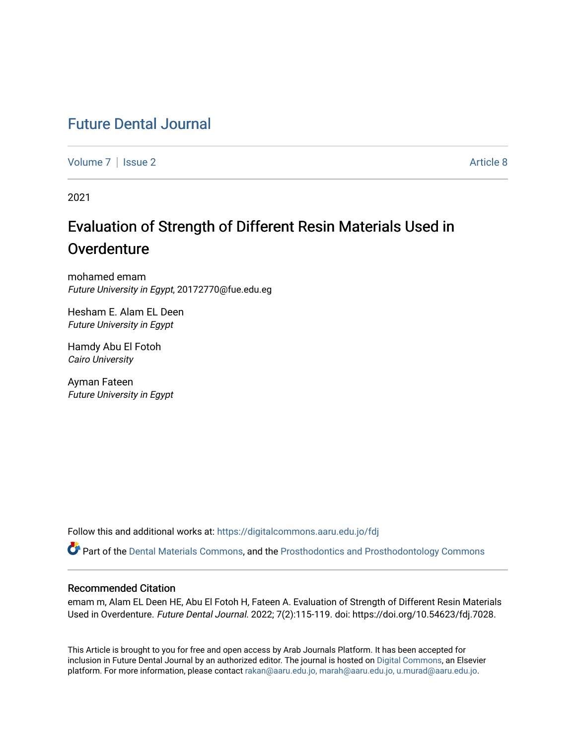## [Future Dental Journal](https://digitalcommons.aaru.edu.jo/fdj)

[Volume 7](https://digitalcommons.aaru.edu.jo/fdj/vol7) | [Issue 2](https://digitalcommons.aaru.edu.jo/fdj/vol7/iss2) Article 8

2021

# Evaluation of Strength of Different Resin Materials Used in **Overdenture**

mohamed emam Future University in Egypt, 20172770@fue.edu.eg

Hesham E. Alam EL Deen Future University in Egypt

Hamdy Abu El Fotoh Cairo University

Ayman Fateen Future University in Egypt

Follow this and additional works at: [https://digitalcommons.aaru.edu.jo/fdj](https://digitalcommons.aaru.edu.jo/fdj?utm_source=digitalcommons.aaru.edu.jo%2Ffdj%2Fvol7%2Fiss2%2F8&utm_medium=PDF&utm_campaign=PDFCoverPages)

Part of the [Dental Materials Commons](https://network.bepress.com/hgg/discipline/654?utm_source=digitalcommons.aaru.edu.jo%2Ffdj%2Fvol7%2Fiss2%2F8&utm_medium=PDF&utm_campaign=PDFCoverPages), and the [Prosthodontics and Prosthodontology Commons](https://network.bepress.com/hgg/discipline/660?utm_source=digitalcommons.aaru.edu.jo%2Ffdj%2Fvol7%2Fiss2%2F8&utm_medium=PDF&utm_campaign=PDFCoverPages) 

### Recommended Citation

emam m, Alam EL Deen HE, Abu El Fotoh H, Fateen A. Evaluation of Strength of Different Resin Materials Used in Overdenture. Future Dental Journal. 2022; 7(2):115-119. doi: https://doi.org/10.54623/fdj.7028.

This Article is brought to you for free and open access by Arab Journals Platform. It has been accepted for inclusion in Future Dental Journal by an authorized editor. The journal is hosted on [Digital Commons,](https://www.elsevier.com/solutions/digital-commons) an Elsevier platform. For more information, please contact [rakan@aaru.edu.jo, marah@aaru.edu.jo, u.murad@aaru.edu.jo](mailto:rakan@aaru.edu.jo,%20marah@aaru.edu.jo,%20u.murad@aaru.edu.jo).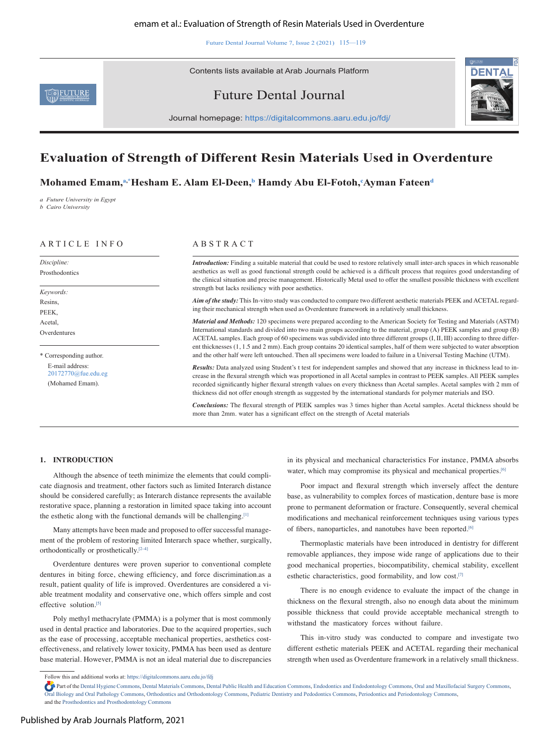Future Dental Journal Volume 7, Issue 2 (2021) 115—119

Contents lists available at Arab Journals Platform





Future Dental Journal

Journal homepage: https://digitalcommons.aaru.edu.jo/fdj/

### **Evaluation of Strength of Different Resin Materials Used in Overdenture**

**Mohamed Emam,a,\* Hesham E. Alam El-Deen,b Hamdy Abu El-Fotoh,c Ayman Fateend**

*a Future University in Egypt b Cairo University* 

### ARTICLE INFO A B S T R A C T

*Discipline:*  Prosthodontics

*Keywords:*  Resins, PEEK, Acetal, Overdentures

\* Corresponding author. E-mail address: 20172770@fue.edu.eg (Mohamed Emam).

*Introduction:* Finding a suitable material that could be used to restore relatively small inter-arch spaces in which reasonable aesthetics as well as good functional strength could be achieved is a difficult process that requires good understanding of the clinical situation and precise management. Historically Metal used to offer the smallest possible thickness with excellent strength but lacks resiliency with poor aesthetics.

*Aim of the study:* This In-vitro study was conducted to compare two different aesthetic materials PEEK and ACETAL regarding their mechanical strength when used as Overdenture framework in a relatively small thickness.

*Material and Methods:* 120 specimens were prepared according to the American Society for Testing and Materials (ASTM) International standards and divided into two main groups according to the material, group (A) PEEK samples and group (B) ACETAL samples. Each group of 60 specimens was subdivided into three different groups (I, II, III) according to three different thicknesses (1, 1.5 and 2 mm). Each group contains 20 identical samples, half of them were subjected to water absorption and the other half were left untouched. Then all specimens were loaded to failure in a Universal Testing Machine (UTM).

*Results:* Data analyzed using Student's t test for independent samples and showed that any increase in thickness lead to increase in the flexural strength which was proportioned in all Acetal samples in contrast to PEEK samples. All PEEK samples recorded significantly higher flexural strength values on every thickness than Acetal samples. Acetal samples with 2 mm of thickness did not offer enough strength as suggested by the international standards for polymer materials and ISO.

*Conclusions:* The flexural strength of PEEK samples was 3 times higher than Acetal samples. Acetal thickness should be more than 2mm. water has a significant effect on the strength of Acetal materials

### **1. INTRODUCTION**

Although the absence of teeth minimize the elements that could complicate diagnosis and treatment, other factors such as limited Interarch distance should be considered carefully; as Interarch distance represents the available restorative space, planning a restoration in limited space taking into account the esthetic along with the functional demands will be challenging.[1]

Many attempts have been made and proposed to offer successful management of the problem of restoring limited Interarch space whether, surgically, orthodontically or prosthetically.[2–4]

Overdenture dentures were proven superior to conventional complete dentures in biting force, chewing efficiency, and force discrimination.as a result, patient quality of life is improved. Overdentures are considered a viable treatment modality and conservative one, which offers simple and cost effective solution.<sup>[5]</sup>

Poly methyl methacrylate (PMMA) is a polymer that is most commonly used in dental practice and laboratories. Due to the acquired properties, such as the ease of processing, acceptable mechanical properties, aesthetics costeffectiveness, and relatively lower toxicity, PMMA has been used as denture base material. However, PMMA is not an ideal material due to discrepancies in its physical and mechanical characteristics For instance, PMMA absorbs water, which may compromise its physical and mechanical properties.<sup>[6]</sup>

Poor impact and flexural strength which inversely affect the denture base, as vulnerability to complex forces of mastication, denture base is more prone to permanent deformation or fracture. Consequently, several chemical modifications and mechanical reinforcement techniques using various types of fibers, nanoparticles, and nanotubes have been reported.<sup>[6]</sup>

Thermoplastic materials have been introduced in dentistry for different removable appliances, they impose wide range of applications due to their good mechanical properties, biocompatibility, chemical stability, excellent esthetic characteristics, good formability, and low cost.[7]

There is no enough evidence to evaluate the impact of the change in thickness on the flexural strength, also no enough data about the minimum possible thickness that could provide acceptable mechanical strength to withstand the masticatory forces without failure.

This in-vitro study was conducted to compare and investigate two different esthetic materials PEEK and ACETAL regarding their mechanical strength when used as Overdenture framework in a relatively small thickness.

Follow this and additional works at: https://digitalcommons.aaru.edu.jo/fdj

Part of the Dental Hygiene Commons, Dental Materials Commons, Dental Public Health and Education Commons, Endodontics and Endodontology Commons, Oral and Maxillofacial Surgery Commons, Oral Biology and Oral Pathology Commons, Orthodontics and Orthodontology Commons, Pediatric Dentistry and Pedodontics Commons, Periodontics and Periodontology Commons, and the Prosthodontics and Prosthodontology Commons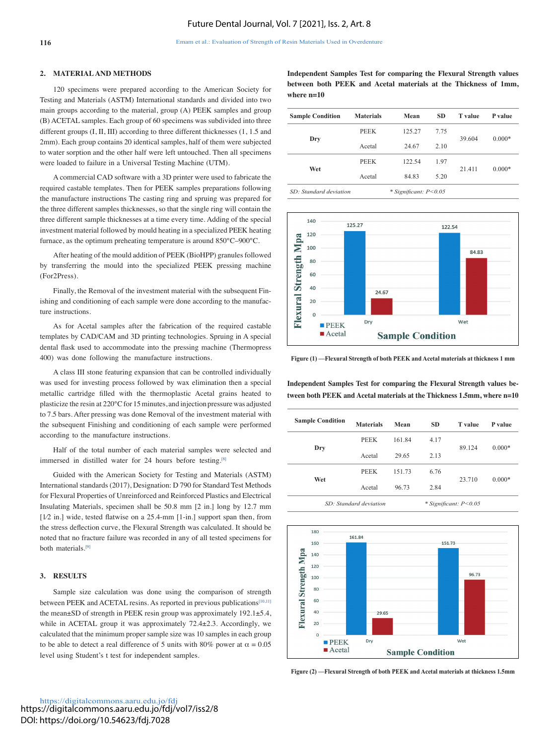#### **2. MATERIAL AND METHODS**

120 specimens were prepared according to the American Society for Testing and Materials (ASTM) International standards and divided into two main groups according to the material, group (A) PEEK samples and group (B) ACETAL samples. Each group of 60 specimens was subdivided into three different groups (I, II, III) according to three different thicknesses (1, 1.5 and 2mm). Each group contains 20 identical samples, half of them were subjected to water sorption and the other half were left untouched. Then all specimens were loaded to failure in a Universal Testing Machine (UTM).

A commercial CAD software with a 3D printer were used to fabricate the required castable templates. Then for PEEK samples preparations following the manufacture instructions The casting ring and spruing was prepared for the three different samples thicknesses, so that the single ring will contain the three different sample thicknesses at a time every time. Adding of the special investment material followed by mould heating in a specialized PEEK heating furnace, as the optimum preheating temperature is around 850°C–900°C.

After heating of the mould addition of PEEK (BioHPP) granules followed by transferring the mould into the specialized PEEK pressing machine (For2Press).

Finally, the Removal of the investment material with the subsequent Finishing and conditioning of each sample were done according to the manufacture instructions.

As for Acetal samples after the fabrication of the required castable templates by CAD/CAM and 3D printing technologies. Spruing in A special dental flask used to accommodate into the pressing machine (Thermopress 400) was done following the manufacture instructions.

A class III stone featuring expansion that can be controlled individually was used for investing process followed by wax elimination then a special metallic cartridge filled with the thermoplastic Acetal grains heated to plasticize the resin at 220°C for 15 minutes, and injection pressure was adjusted to 7.5 bars. After pressing was done Removal of the investment material with the subsequent Finishing and conditioning of each sample were performed according to the manufacture instructions.

Half of the total number of each material samples were selected and immersed in distilled water for 24 hours before testing.<sup>[8]</sup>

Guided with the American Society for Testing and Materials (ASTM) International standards (2017), Designation: D 790 for Standard Test Methods for Flexural Properties of Unreinforced and Reinforced Plastics and Electrical Insulating Materials, specimen shall be 50.8 mm [2 in.] long by 12.7 mm [1⁄2 in.] wide, tested flatwise on a 25.4-mm [1-in.] support span then, from the stress deflection curve, the Flexural Strength was calculated. It should be noted that no fracture failure was recorded in any of all tested specimens for both materials.<sup>[9]</sup>

#### **3. RESULTS**

Sample size calculation was done using the comparison of strength between PEEK and ACETAL resins. As reported in previous publications<sup>[10,11]</sup> the mean±SD of strength in PEEK resin group was approximately 192.1±5.4, while in ACETAL group it was approximately 72.4 $\pm$ 2.3. Accordingly, we calculated that the minimum proper sample size was 10 samples in each group to be able to detect a real difference of 5 units with 80% power at  $\alpha = 0.05$ level using Student's t test for independent samples.

**Independent Samples Test for comparing the Flexural Strength values between both PEEK and Acetal materials at the Thickness of 1mm, where n=10**

| <b>Sample Condition</b> | <b>Materials</b>            | Mean   | <b>SD</b> | <b>T</b> value | P value  |
|-------------------------|-----------------------------|--------|-----------|----------------|----------|
| Dry                     | PEEK                        | 125.27 | 7.75      | 39.604         | $0.000*$ |
|                         | Acetal                      | 24.67  | 2.10      |                |          |
| Wet                     | PEEK                        | 122.54 | 1.97      |                | $0.000*$ |
|                         | Acetal                      | 84.83  | 5.20      | 21.411         |          |
| SD: Standard deviation  | $*$ Significant: $P < 0.05$ |        |           |                |          |



**Figure (1) —Flexural Strength of both PEEK and Acetal materials at thickness 1 mm**

**Independent Samples Test for comparing the Flexural Strength values between both PEEK and Acetal materials at the Thickness 1.5mm, where n=10**

| <b>Sample Condition</b> | <b>Materials</b> | Mean   | <b>SD</b> | <b>T</b> value | P value  |  |
|-------------------------|------------------|--------|-----------|----------------|----------|--|
| Dry                     | <b>PEEK</b>      | 161.84 | 4.17      | 89.124         | $0.000*$ |  |
|                         | Acetal           | 29.65  | 2.13      |                |          |  |
| Wet                     | <b>PEEK</b>      | 151.73 | 6.76      |                |          |  |
|                         | Acetal           | 96.73  | 2.84      | 23.710         | $0.000*$ |  |
|                         |                  |        |           |                |          |  |





**Figure (2) —Flexural Strength of both PEEK and Acetal materials at thickness 1.5mm**

https://digitalcommons.aaru.edu.jo/fdj https://digitalcommons.aaru.edu.jo/fdj/vol7/iss2/8 DOI: https://doi.org/10.54623/fdj.7028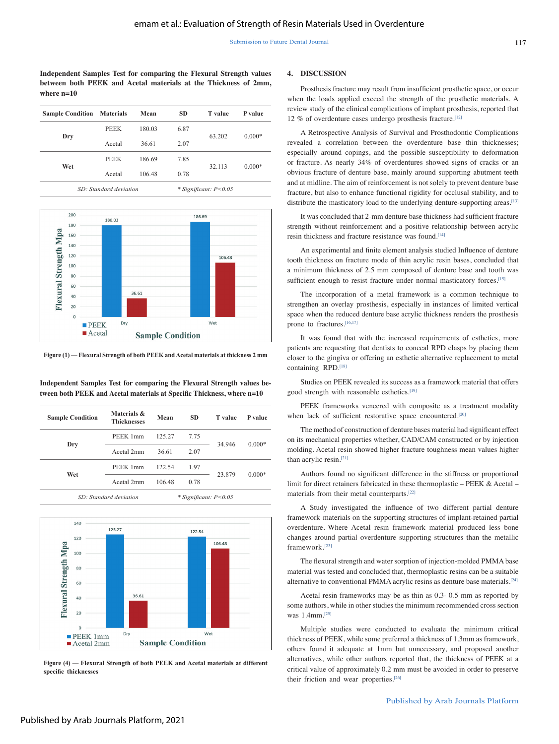**Independent Samples Test for comparing the Flexural Strength values between both PEEK and Acetal materials at the Thickness of 2mm, where n=10**

| <b>Sample Condition Materials</b> |             | Mean   | SD.  | <b>T</b> value            | P value  |
|-----------------------------------|-------------|--------|------|---------------------------|----------|
| Dry                               | <b>PEEK</b> | 180.03 | 6.87 |                           |          |
|                                   | Acetal      | 36.61  | 2.07 | 63.202                    | $0.000*$ |
| Wet                               | <b>PEEK</b> | 186.69 | 7.85 |                           |          |
|                                   | Acetal      | 106.48 | 0.78 | 32.113                    | $0.000*$ |
| SD: Standard deviation            |             |        |      | $*$ Significant: $P<0.05$ |          |



**Figure (1) — Flexural Strength of both PEEK and Acetal materials at thickness 2 mm**

**Independent Samples Test for comparing the Flexural Strength values between both PEEK and Acetal materials at Specific Thickness, where n=10**

| <b>Sample Condition</b> | Materials &<br><b>Thicknesses</b> |                             | SD.  | <b>T</b> value | P value  |
|-------------------------|-----------------------------------|-----------------------------|------|----------------|----------|
| Dry                     | PEEK 1mm                          | 125.27                      | 7.75 |                |          |
|                         | Acetal 2mm<br>36.61<br>2.07       |                             |      | 34.946         | $0.000*$ |
|                         | PEEK 1mm                          | 122.54                      | 1.97 | 23.879         | $0.000*$ |
| Wet                     | Acetal 2mm                        | 106.48                      | 0.78 |                |          |
| SD: Standard deviation  |                                   | $*$ Significant: $P < 0.05$ |      |                |          |



**Figure (4) — Flexural Strength of both PEEK and Acetal materials at different specific thicknesses**

#### **4. DISCUSSION**

Prosthesis fracture may result from insufficient prosthetic space, or occur when the loads applied exceed the strength of the prosthetic materials. A review study of the clinical complications of implant prosthesis, reported that 12 % of overdenture cases undergo prosthesis fracture.[12]

A Retrospective Analysis of Survival and Prosthodontic Complications revealed a correlation between the overdenture base thin thicknesses; especially around copings, and the possible susceptibility to deformation or fracture. As nearly 34% of overdentures showed signs of cracks or an obvious fracture of denture base, mainly around supporting abutment teeth and at midline. The aim of reinforcement is not solely to prevent denture base fracture, but also to enhance functional rigidity for occlusal stability, and to distribute the masticatory load to the underlying denture-supporting areas.<sup>[13]</sup>

It was concluded that 2-mm denture base thickness had sufficient fracture strength without reinforcement and a positive relationship between acrylic resin thickness and fracture resistance was found.[14]

An experimental and finite element analysis studied Influence of denture tooth thickness on fracture mode of thin acrylic resin bases, concluded that a minimum thickness of 2.5 mm composed of denture base and tooth was sufficient enough to resist fracture under normal masticatory forces.<sup>[15]</sup>

The incorporation of a metal framework is a common technique to strengthen an overlay prosthesis, especially in instances of limited vertical space when the reduced denture base acrylic thickness renders the prosthesis prone to fractures.[16,17]

It was found that with the increased requirements of esthetics, more patients are requesting that dentists to conceal RPD clasps by placing them closer to the gingiva or offering an esthetic alternative replacement to metal containing RPD.<sup>[18]</sup>

Studies on PEEK revealed its success as a framework material that offers good strength with reasonable esthetics.<sup>[19]</sup>

PEEK frameworks veneered with composite as a treatment modality when lack of sufficient restorative space encountered.<sup>[20]</sup>

The method of construction of denture bases material had significant effect on its mechanical properties whether, CAD/CAM constructed or by injection molding. Acetal resin showed higher fracture toughness mean values higher than acrylic resin.[21]

Authors found no significant difference in the stiffness or proportional limit for direct retainers fabricated in these thermoplastic – PEEK & Acetal – materials from their metal counterparts.[22]

A Study investigated the influence of two different partial denture framework materials on the supporting structures of implant-retained partial overdenture. Where Acetal resin framework material produced less bone changes around partial overdenture supporting structures than the metallic framework.[23]

The flexural strength and water sorption of injection-molded PMMA base material was tested and concluded that, thermoplastic resins can be a suitable alternative to conventional PMMA acrylic resins as denture base materials.<sup>[24]</sup>

Acetal resin frameworks may be as thin as 0.3- 0.5 mm as reported by some authors, while in other studies the minimum recommended cross section was 1.4mm<sup>[25]</sup>

Multiple studies were conducted to evaluate the minimum critical thickness of PEEK, while some preferred a thickness of 1.3mm as framework, others found it adequate at 1mm but unnecessary, and proposed another alternatives, while other authors reported that, the thickness of PEEK at a critical value of approximately 0.2 mm must be avoided in order to preserve their friction and wear properties.<sup>[26]</sup>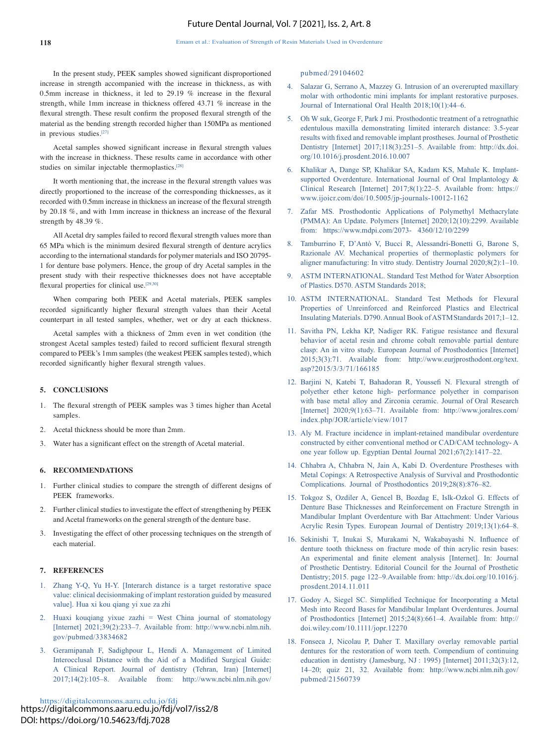In the present study, PEEK samples showed significant disproportioned increase in strength accompanied with the increase in thickness, as with 0.5mm increase in thickness, it led to 29.19 % increase in the flexural strength, while 1mm increase in thickness offered 43.71 % increase in the flexural strength. These result confirm the proposed flexural strength of the material as the bending strength recorded higher than 150MPa as mentioned in previous studies.[27]

Acetal samples showed significant increase in flexural strength values with the increase in thickness. These results came in accordance with other studies on similar injectable thermoplastics.[28]

It worth mentioning that, the increase in the flexural strength values was directly proportioned to the increase of the corresponding thicknesses, as it recorded with 0.5mm increase in thickness an increase of the flexural strength by 20.18 %, and with 1mm increase in thickness an increase of the flexural strength by 48.39 %.

All Acetal dry samples failed to record flexural strength values more than 65 MPa which is the minimum desired flexural strength of denture acrylics according to the international standards for polymer materials and ISO 20795- 1 for denture base polymers. Hence, the group of dry Acetal samples in the present study with their respective thicknesses does not have acceptable flexural properties for clinical use.<sup>[29,30]</sup>

When comparing both PEEK and Acetal materials, PEEK samples recorded significantly higher flexural strength values than their Acetal counterpart in all tested samples, whether, wet or dry at each thickness.

Acetal samples with a thickness of 2mm even in wet condition (the strongest Acetal samples tested) failed to record sufficient flexural strength compared to PEEk's 1mm samples (the weakest PEEK samples tested), which recorded significantly higher flexural strength values.

#### **5. CONCLUSIONS**

- 1. The flexural strength of PEEK samples was 3 times higher than Acetal samples.
- 2. Acetal thickness should be more than 2mm.
- Water has a significant effect on the strength of Acetal material.

#### **6. RECOMMENDATIONS**

- 1. Further clinical studies to compare the strength of different designs of PEEK frameworks.
- 2. Further clinical studies to investigate the effect of strengthening by PEEK and Acetal frameworks on the general strength of the denture base.
- 3. Investigating the effect of other processing techniques on the strength of each material.

#### **7. REFERENCES**

- 1. Zhang Y-Q, Yu H-Y. [Interarch distance is a target restorative space value: clinical decisionmaking of implant restoration guided by measured value]. Hua xi kou qiang yi xue za zhi
- 2. Huaxi kouqiang yixue zazhi = West China journal of stomatology [Internet] 2021;39(2):233–7. Available from: http://www.ncbi.nlm.nih. gov/pubmed/33834682
- 3. Geramipanah F, Sadighpour L, Hendi A. Management of Limited Interocclusal Distance with the Aid of a Modified Surgical Guide: A Clinical Report. Journal of dentistry (Tehran, Iran) [Internet] 2017;14(2):105–8. Available from: http://www.ncbi.nlm.nih.gov/

https://digitalcommons.aaru.edu.jo/fdj https://digitalcommons.aaru.edu.jo/fdj/vol7/iss2/8 DOI: https://doi.org/10.54623/fdj.7028

pubmed/29104602

- 4. Salazar G, Serrano A, Mazzey G. Intrusion of an overerupted maxillary molar with orthodontic mini implants for implant restorative purposes. Journal of International Oral Health 2018;10(1):44–6.
- 5. Oh W suk, George F, Park J mi. Prosthodontic treatment of a retrognathic edentulous maxilla demonstrating limited interarch distance: 3.5-year results with fixed and removable implant prostheses. Journal of Prosthetic Dentistry [Internet] 2017;118(3):251–5. Available from: http://dx.doi. org/10.1016/j.prosdent.2016.10.007
- 6. Khalikar A, Dange SP, Khalikar SA, Kadam KS, Mahale K. Implantsupported Overdenture. International Journal of Oral Implantology & Clinical Research [Internet] 2017;8(1):22–5. Available from: https:// www.ijoicr.com/doi/10.5005/jp-journals-10012-1162
- 7. Zafar MS. Prosthodontic Applications of Polymethyl Methacrylate (PMMA): An Update. Polymers [Internet] 2020;12(10):2299. Available from: https://www.mdpi.com/2073- 4360/12/10/2299
- 8. Tamburrino F, D'Antò V, Bucci R, Alessandri-Bonetti G, Barone S, Razionale AV. Mechanical properties of thermoplastic polymers for aligner manufacturing: In vitro study. Dentistry Journal 2020;8(2):1–10.
- 9. ASTM INTERNATIONAL. Standard Test Method for Water Absorption of Plastics. D570. ASTM Standards 2018;
- 10. ASTM INTERNATIONAL. Standard Test Methods for Flexural Properties of Unreinforced and Reinforced Plastics and Electrical Insulating Materials. D790. Annual Book of ASTM Standards 2017;1–12.
- 11. Savitha PN, Lekha KP, Nadiger RK. Fatigue resistance and flexural behavior of acetal resin and chrome cobalt removable partial denture clasp: An in vitro study. European Journal of Prosthodontics [Internet] 2015;3(3):71. Available from: http://www.eurjprosthodont.org/text. asp?2015/3/3/71/166185
- 12. Barjini N, Katebi T, Bahadoran R, Youssefi N. Flexural strength of polyether ether ketone high- performance polyether in comparison with base metal alloy and Zirconia ceramic. Journal of Oral Research [Internet] 2020;9(1):63–71. Available from: http://www.joralres.com/ index.php/JOR/article/view/1017
- 13. Aly M. Fracture incidence in implant-retained mandibular overdenture constructed by either conventional method or CAD/CAM technology- A one year follow up. Egyptian Dental Journal 2021;67(2):1417–22.
- 14. Chhabra A, Chhabra N, Jain A, Kabi D. Overdenture Prostheses with Metal Copings: A Retrospective Analysis of Survival and Prosthodontic Complications. Journal of Prosthodontics 2019;28(8):876–82.
- 15. Tokgoz S, Ozdiler A, Gencel B, Bozdag E, Islk-Ozkol G. Effects of Denture Base Thicknesses and Reinforcement on Fracture Strength in Mandibular Implant Overdenture with Bar Attachment: Under Various Acrylic Resin Types. European Journal of Dentistry 2019;13(1):64–8.
- 16. Sekinishi T, Inukai S, Murakami N, Wakabayashi N. Influence of denture tooth thickness on fracture mode of thin acrylic resin bases: An experimental and finite element analysis [Internet]. In: Journal of Prosthetic Dentistry. Editorial Council for the Journal of Prosthetic Dentistry; 2015. page 122–9.Available from: http://dx.doi.org/10.1016/j. prosdent.2014.11.011
- 17. Godoy A, Siegel SC. Simplified Technique for Incorporating a Metal Mesh into Record Bases for Mandibular Implant Overdentures. Journal of Prosthodontics [Internet] 2015;24(8):661–4. Available from: http:// doi.wiley.com/10.1111/jopr.12270
- 18. Fonseca J, Nicolau P, Daher T. Maxillary overlay removable partial dentures for the restoration of worn teeth. Compendium of continuing education in dentistry (Jamesburg, NJ : 1995) [Internet] 2011;32(3):12, 14–20; quiz 21, 32. Available from: http://www.ncbi.nlm.nih.gov/ pubmed/21560739